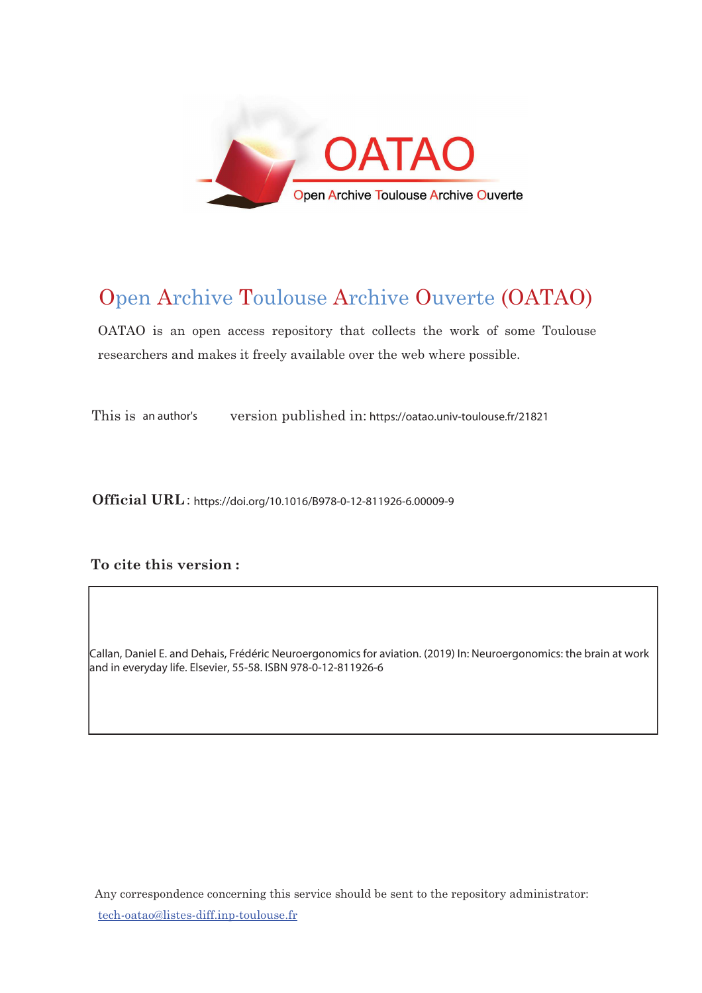

# Open Archive Toulouse Archive Ouverte (OATAO)

OATAO is an open access repository that collects the work of some Toulouse researchers and makes it freely available over the web where possible.

This is an author's an author's version published in: https://oatao.univ-toulouse.fr/21821

 $Official URL: <https://doi.org/10.1016/B978-0-12-811926-6.00009-9>$ 

### To cite this version :

Callan, Daniel E. and Dehais, Frédéric Neuroergonomics for aviation. (2019) In: Neuroergonomics: the brain at work and in everyday life. Elsevier, 55-58. ISBN 978-0-12-811926-6

Any correspondence concerning this service should be sent to the repository administrator: <u>tech-oatao@listes-diff.inp-toulouse.fr</u>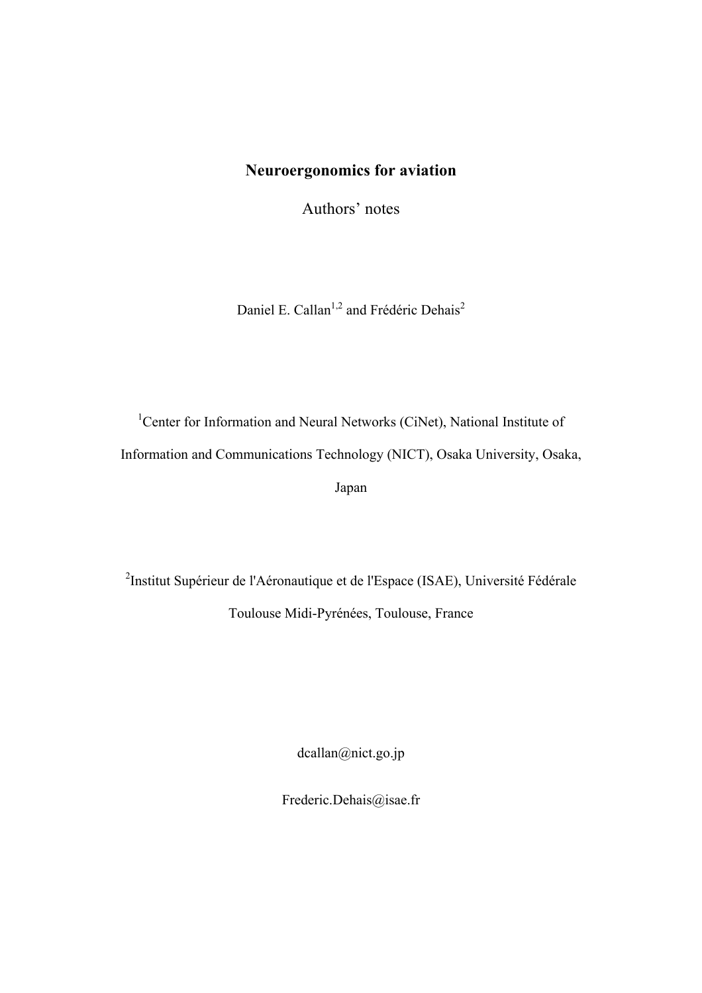## **Neuroergonomics for aviation**

Authors' notes

Daniel E. Callan<sup>1,2</sup> and Frédéric Dehais<sup>2</sup>

<sup>1</sup>Center for Information and Neural Networks (CiNet), National Institute of Information and Communications Technology (NICT), Osaka University, Osaka, Japan

<sup>2</sup>Institut Supérieur de l'Aéronautique et de l'Espace (ISAE), Université Fédérale Toulouse Midi-Pyrénées, Toulouse, France

dcallan@nict.go.jp

Frederic.Dehais@isae.fr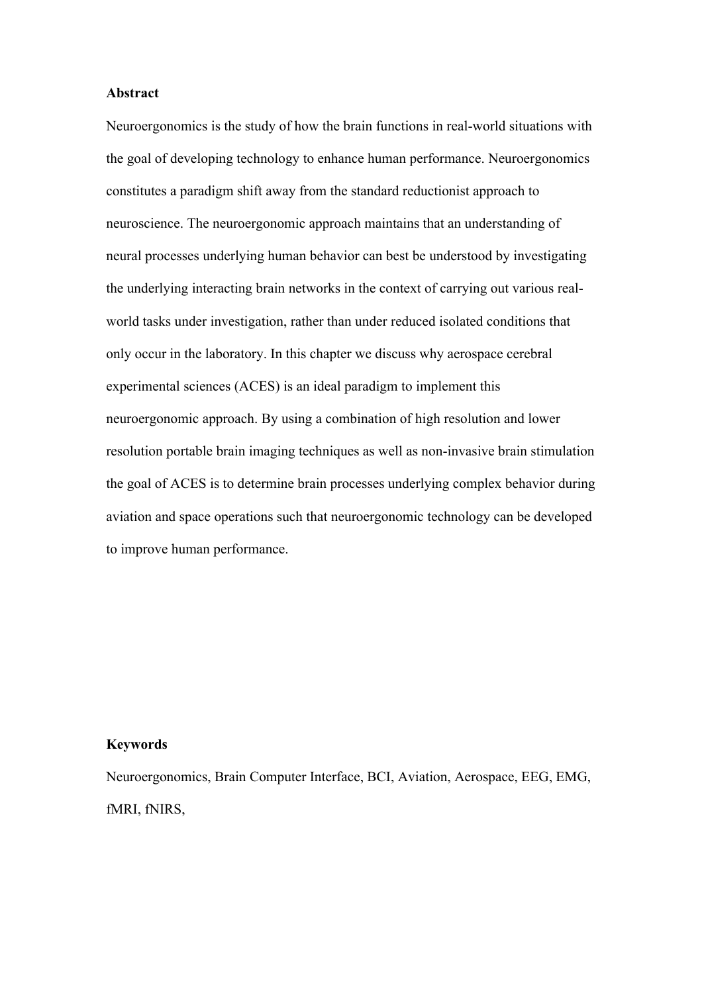#### **Abstract**

Neuroergonomics is the study of how the brain functions in real-world situations with the goal of developing technology to enhance human performance. Neuroergonomics constitutes a paradigm shift away from the standard reductionist approach to neuroscience. The neuroergonomic approach maintains that an understanding of neural processes underlying human behavior can best be understood by investigating the underlying interacting brain networks in the context of carrying out various realworld tasks under investigation, rather than under reduced isolated conditions that only occur in the laboratory. In this chapter we discuss why aerospace cerebral experimental sciences (ACES) is an ideal paradigm to implement this neuroergonomic approach. By using a combination of high resolution and lower resolution portable brain imaging techniques as well as non-invasive brain stimulation the goal of ACES is to determine brain processes underlying complex behavior during aviation and space operations such that neuroergonomic technology can be developed to improve human performance.

#### **Keywords**

Neuroergonomics, Brain Computer Interface, BCI, Aviation, Aerospace, EEG, EMG, fMRI, fNIRS,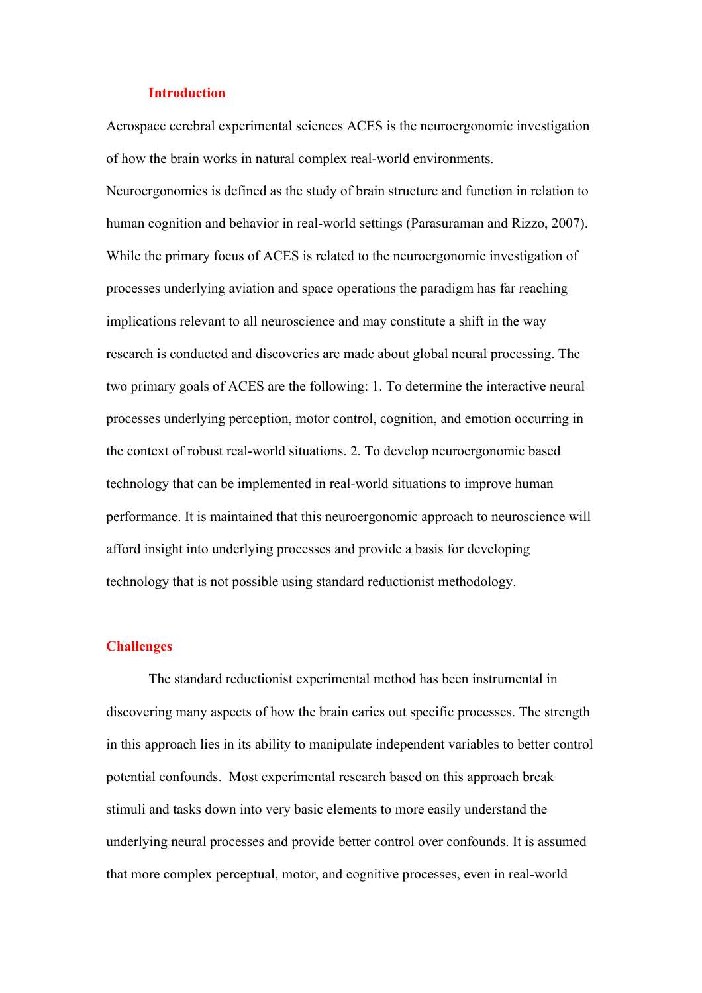#### **Introduction**

Aerospace cerebral experimental sciences ACES is the neuroergonomic investigation of how the brain works in natural complex real-world environments.

Neuroergonomics is defined as the study of brain structure and function in relation to human cognition and behavior in real-world settings (Parasuraman and Rizzo, 2007). While the primary focus of ACES is related to the neuroergonomic investigation of processes underlying aviation and space operations the paradigm has far reaching implications relevant to all neuroscience and may constitute a shift in the way research is conducted and discoveries are made about global neural processing. The two primary goals of ACES are the following: 1. To determine the interactive neural processes underlying perception, motor control, cognition, and emotion occurring in the context of robust real-world situations. 2. To develop neuroergonomic based technology that can be implemented in real-world situations to improve human performance. It is maintained that this neuroergonomic approach to neuroscience will afford insight into underlying processes and provide a basis for developing technology that is not possible using standard reductionist methodology.

#### **Challenges**

The standard reductionist experimental method has been instrumental in discovering many aspects of how the brain caries out specific processes. The strength in this approach lies in its ability to manipulate independent variables to better control potential confounds. Most experimental research based on this approach break stimuli and tasks down into very basic elements to more easily understand the underlying neural processes and provide better control over confounds. It is assumed that more complex perceptual, motor, and cognitive processes, even in real-world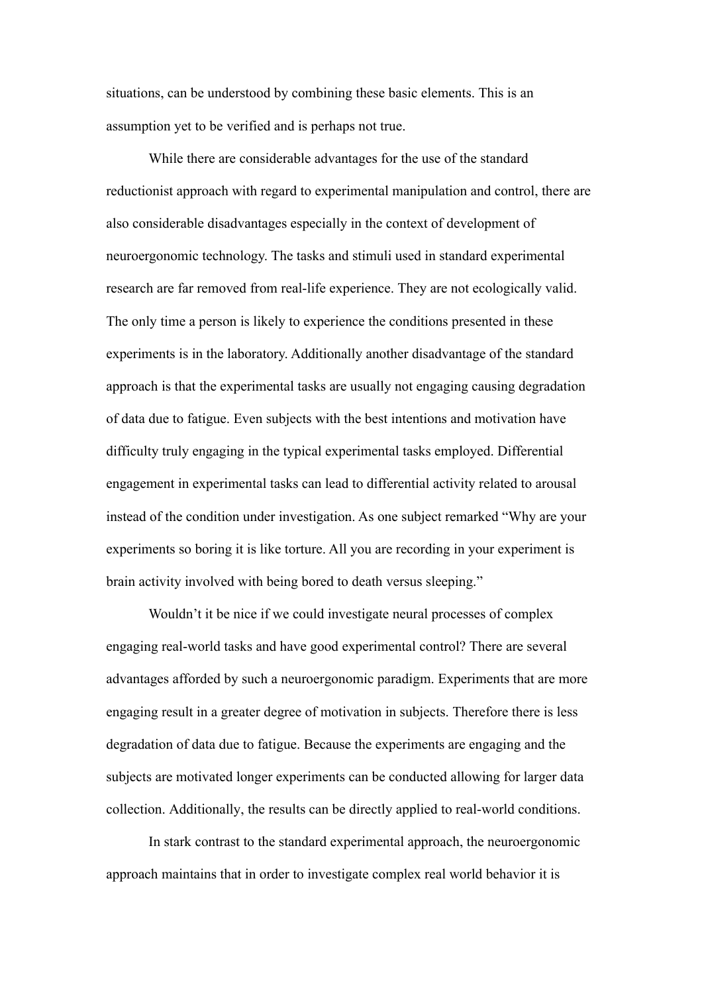situations, can be understood by combining these basic elements. This is an assumption yet to be verified and is perhaps not true.

While there are considerable advantages for the use of the standard reductionist approach with regard to experimental manipulation and control, there are also considerable disadvantages especially in the context of development of neuroergonomic technology. The tasks and stimuli used in standard experimental research are far removed from real-life experience. They are not ecologically valid. The only time a person is likely to experience the conditions presented in these experiments is in the laboratory. Additionally another disadvantage of the standard approach is that the experimental tasks are usually not engaging causing degradation of data due to fatigue. Even subjects with the best intentions and motivation have difficulty truly engaging in the typical experimental tasks employed. Differential engagement in experimental tasks can lead to differential activity related to arousal instead of the condition under investigation. As one subject remarked "Why are your experiments so boring it is like torture. All you are recording in your experiment is brain activity involved with being bored to death versus sleeping."

Wouldn't it be nice if we could investigate neural processes of complex engaging real-world tasks and have good experimental control? There are several advantages afforded by such a neuroergonomic paradigm. Experiments that are more engaging result in a greater degree of motivation in subjects. Therefore there is less degradation of data due to fatigue. Because the experiments are engaging and the subjects are motivated longer experiments can be conducted allowing for larger data collection. Additionally, the results can be directly applied to real-world conditions.

In stark contrast to the standard experimental approach, the neuroergonomic approach maintains that in order to investigate complex real world behavior it is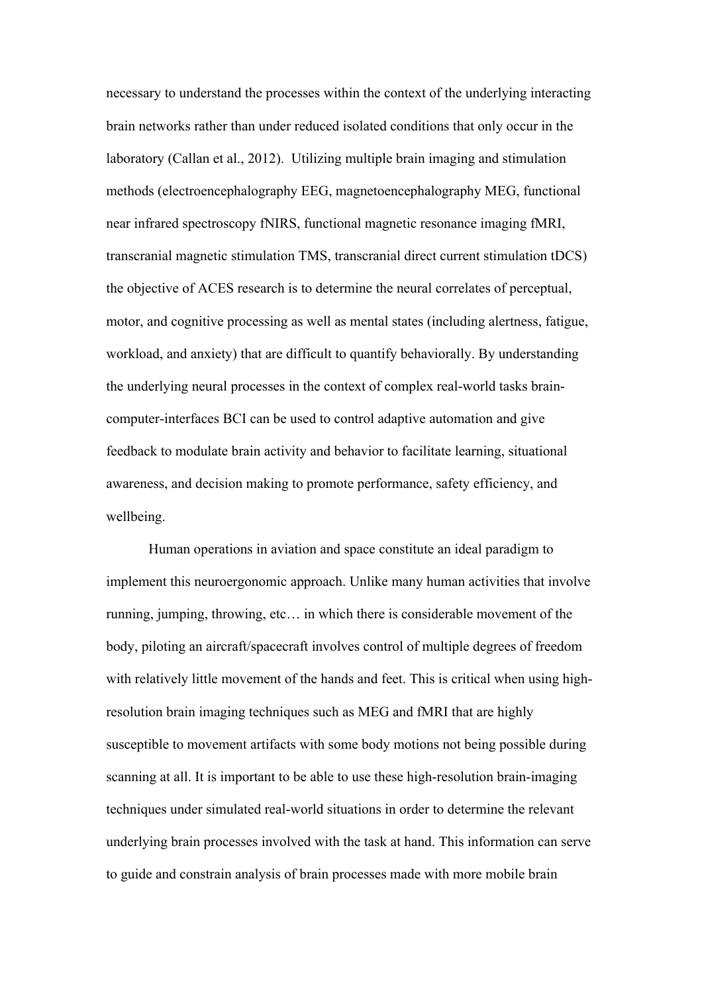necessary to understand the processes within the context of the underlying interacting brain networks rather than under reduced isolated conditions that only occur in the laboratory (Callan et al., 2012). Utilizing multiple brain imaging and stimulation methods (electroencephalography EEG, magnetoencephalography MEG, functional near infrared spectroscopy fNIRS, functional magnetic resonance imaging fMRI, transcranial magnetic stimulation TMS, transcranial direct current stimulation tDCS) the objective of ACES research is to determine the neural correlates of perceptual, motor, and cognitive processing as well as mental states (including alertness, fatigue, workload, and anxiety) that are difficult to quantify behaviorally. By understanding the underlying neural processes in the context of complex real-world tasks braincomputer-interfaces BCI can be used to control adaptive automation and give feedback to modulate brain activity and behavior to facilitate learning, situational awareness, and decision making to promote performance, safety efficiency, and wellbeing.

Human operations in aviation and space constitute an ideal paradigm to implement this neuroergonomic approach. Unlike many human activities that involve running, jumping, throwing, etc… in which there is considerable movement of the body, piloting an aircraft/spacecraft involves control of multiple degrees of freedom with relatively little movement of the hands and feet. This is critical when using highresolution brain imaging techniques such as MEG and fMRI that are highly susceptible to movement artifacts with some body motions not being possible during scanning at all. It is important to be able to use these high-resolution brain-imaging techniques under simulated real-world situations in order to determine the relevant underlying brain processes involved with the task at hand. This information can serve to guide and constrain analysis of brain processes made with more mobile brain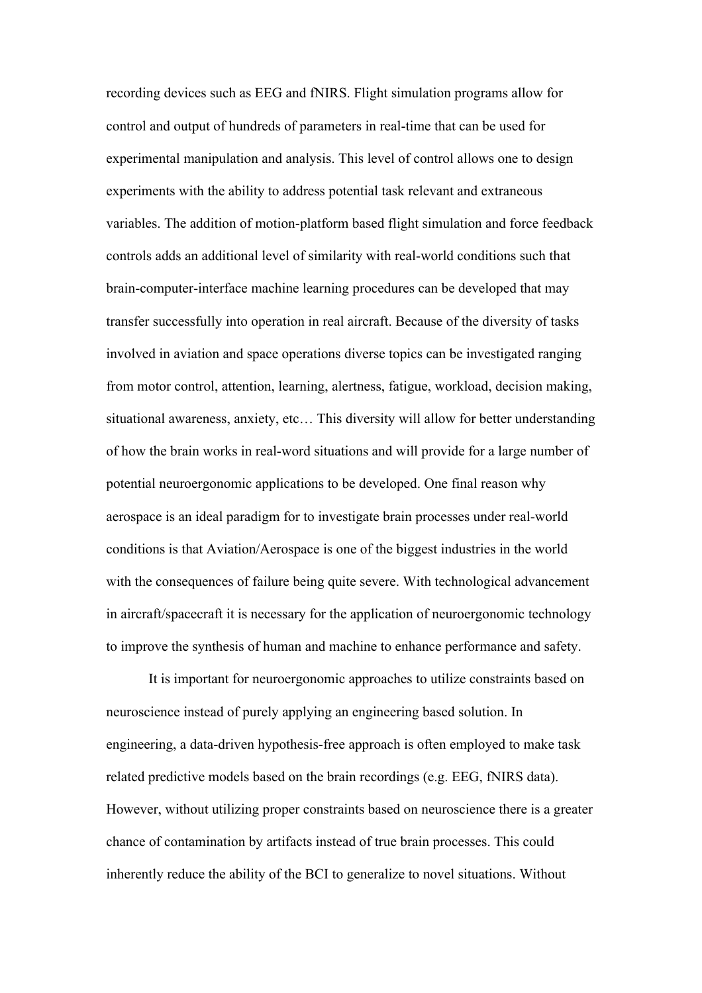recording devices such as EEG and fNIRS. Flight simulation programs allow for control and output of hundreds of parameters in real-time that can be used for experimental manipulation and analysis. This level of control allows one to design experiments with the ability to address potential task relevant and extraneous variables. The addition of motion-platform based flight simulation and force feedback controls adds an additional level of similarity with real-world conditions such that brain-computer-interface machine learning procedures can be developed that may transfer successfully into operation in real aircraft. Because of the diversity of tasks involved in aviation and space operations diverse topics can be investigated ranging from motor control, attention, learning, alertness, fatigue, workload, decision making, situational awareness, anxiety, etc… This diversity will allow for better understanding of how the brain works in real-word situations and will provide for a large number of potential neuroergonomic applications to be developed. One final reason why aerospace is an ideal paradigm for to investigate brain processes under real-world conditions is that Aviation/Aerospace is one of the biggest industries in the world with the consequences of failure being quite severe. With technological advancement in aircraft/spacecraft it is necessary for the application of neuroergonomic technology to improve the synthesis of human and machine to enhance performance and safety.

It is important for neuroergonomic approaches to utilize constraints based on neuroscience instead of purely applying an engineering based solution. In engineering, a data-driven hypothesis-free approach is often employed to make task related predictive models based on the brain recordings (e.g. EEG, fNIRS data). However, without utilizing proper constraints based on neuroscience there is a greater chance of contamination by artifacts instead of true brain processes. This could inherently reduce the ability of the BCI to generalize to novel situations. Without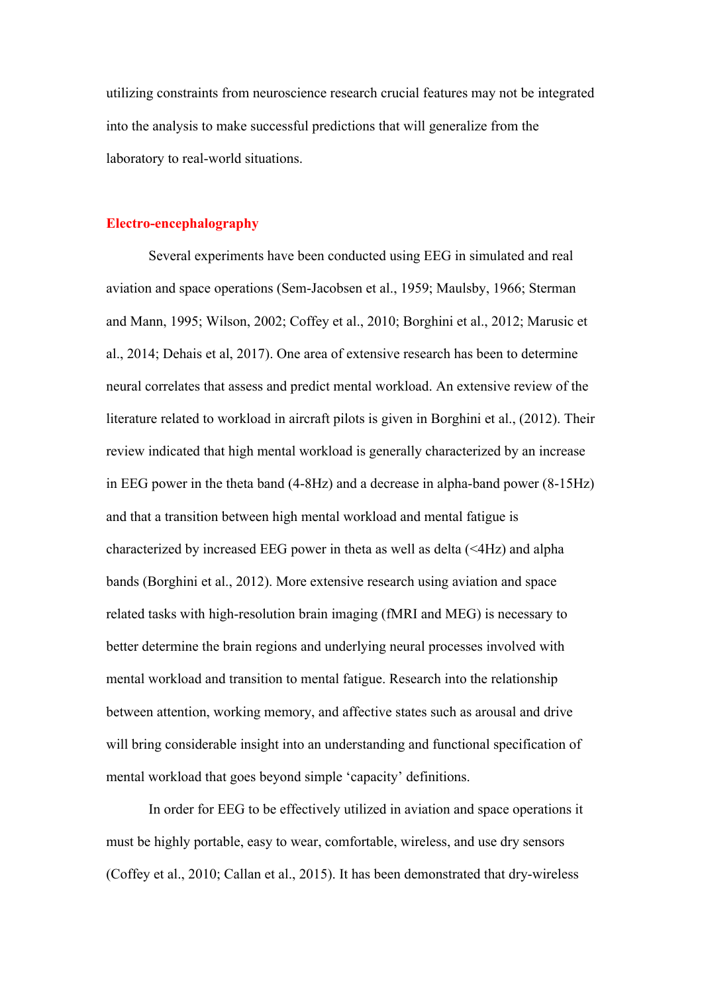utilizing constraints from neuroscience research crucial features may not be integrated into the analysis to make successful predictions that will generalize from the laboratory to real-world situations.

#### **Electro-encephalography**

Several experiments have been conducted using EEG in simulated and real aviation and space operations (Sem-Jacobsen et al., 1959; Maulsby, 1966; Sterman and Mann, 1995; Wilson, 2002; Coffey et al., 2010; Borghini et al., 2012; Marusic et al., 2014; Dehais et al, 2017). One area of extensive research has been to determine neural correlates that assess and predict mental workload. An extensive review of the literature related to workload in aircraft pilots is given in Borghini et al., (2012). Their review indicated that high mental workload is generally characterized by an increase in EEG power in the theta band (4-8Hz) and a decrease in alpha-band power (8-15Hz) and that a transition between high mental workload and mental fatigue is characterized by increased EEG power in theta as well as delta (<4Hz) and alpha bands (Borghini et al., 2012). More extensive research using aviation and space related tasks with high-resolution brain imaging (fMRI and MEG) is necessary to better determine the brain regions and underlying neural processes involved with mental workload and transition to mental fatigue. Research into the relationship between attention, working memory, and affective states such as arousal and drive will bring considerable insight into an understanding and functional specification of mental workload that goes beyond simple 'capacity' definitions.

In order for EEG to be effectively utilized in aviation and space operations it must be highly portable, easy to wear, comfortable, wireless, and use dry sensors (Coffey et al., 2010; Callan et al., 2015). It has been demonstrated that dry-wireless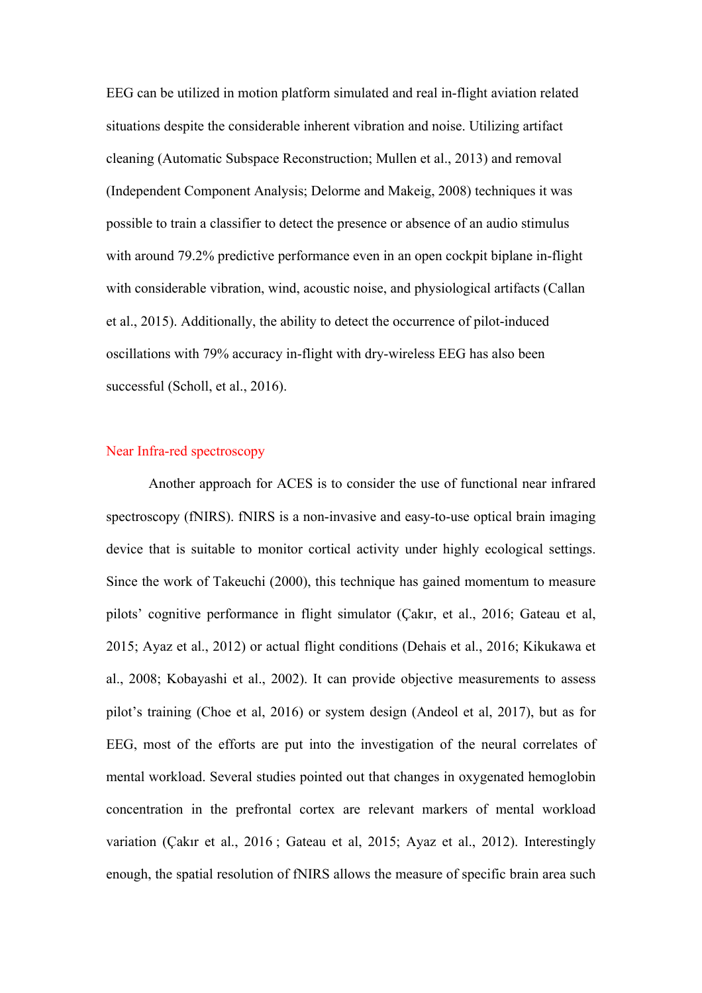EEG can be utilized in motion platform simulated and real in-flight aviation related situations despite the considerable inherent vibration and noise. Utilizing artifact cleaning (Automatic Subspace Reconstruction; Mullen et al., 2013) and removal (Independent Component Analysis; Delorme and Makeig, 2008) techniques it was possible to train a classifier to detect the presence or absence of an audio stimulus with around 79.2% predictive performance even in an open cockpit biplane in-flight with considerable vibration, wind, acoustic noise, and physiological artifacts (Callan et al., 2015). Additionally, the ability to detect the occurrence of pilot-induced oscillations with 79% accuracy in-flight with dry-wireless EEG has also been successful (Scholl, et al., 2016).

#### Near Infra-red spectroscopy

Another approach for ACES is to consider the use of functional near infrared spectroscopy (fNIRS). fNIRS is a non-invasive and easy-to-use optical brain imaging device that is suitable to monitor cortical activity under highly ecological settings. Since the work of Takeuchi (2000), this technique has gained momentum to measure pilots' cognitive performance in flight simulator (Çakır, et al., 2016; Gateau et al, 2015; Ayaz et al., 2012) or actual flight conditions (Dehais et al., 2016; Kikukawa et al., 2008; Kobayashi et al., 2002). It can provide objective measurements to assess pilot's training (Choe et al, 2016) or system design (Andeol et al, 2017), but as for EEG, most of the efforts are put into the investigation of the neural correlates of mental workload. Several studies pointed out that changes in oxygenated hemoglobin concentration in the prefrontal cortex are relevant markers of mental workload variation (Çakır et al., 2016 ; Gateau et al, 2015; Ayaz et al., 2012). Interestingly enough, the spatial resolution of fNIRS allows the measure of specific brain area such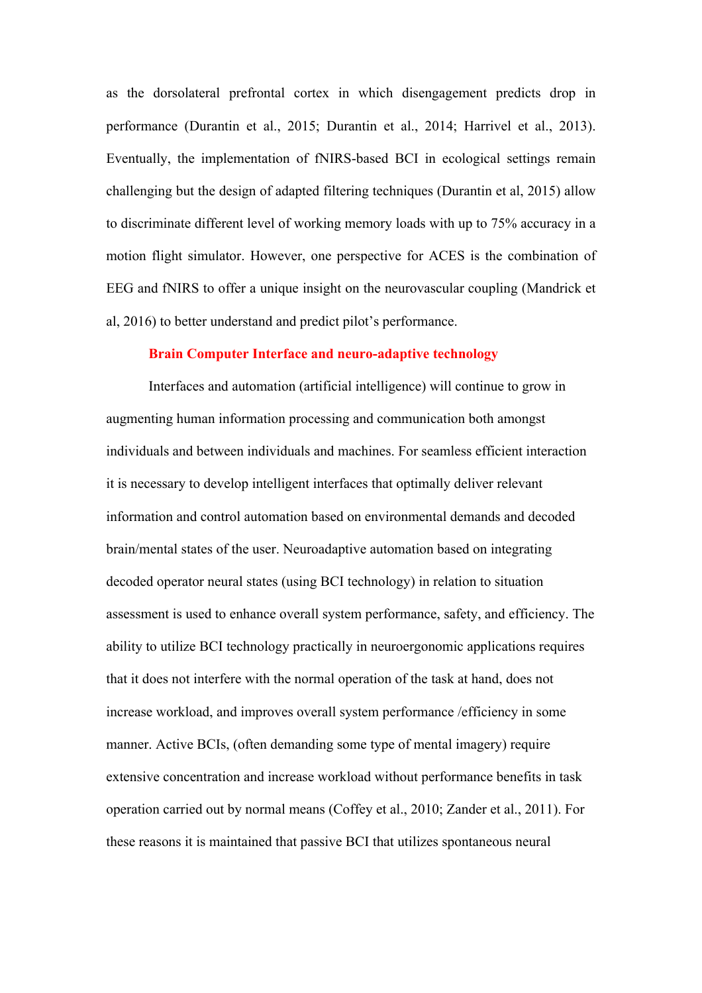as the dorsolateral prefrontal cortex in which disengagement predicts drop in performance (Durantin et al., 2015; Durantin et al., 2014; Harrivel et al., 2013). Eventually, the implementation of fNIRS-based BCI in ecological settings remain challenging but the design of adapted filtering techniques (Durantin et al, 2015) allow to discriminate different level of working memory loads with up to 75% accuracy in a motion flight simulator. However, one perspective for ACES is the combination of EEG and fNIRS to offer a unique insight on the neurovascular coupling (Mandrick et al, 2016) to better understand and predict pilot's performance.

#### **Brain Computer Interface and neuro-adaptive technology**

Interfaces and automation (artificial intelligence) will continue to grow in augmenting human information processing and communication both amongst individuals and between individuals and machines. For seamless efficient interaction it is necessary to develop intelligent interfaces that optimally deliver relevant information and control automation based on environmental demands and decoded brain/mental states of the user. Neuroadaptive automation based on integrating decoded operator neural states (using BCI technology) in relation to situation assessment is used to enhance overall system performance, safety, and efficiency. The ability to utilize BCI technology practically in neuroergonomic applications requires that it does not interfere with the normal operation of the task at hand, does not increase workload, and improves overall system performance /efficiency in some manner. Active BCIs, (often demanding some type of mental imagery) require extensive concentration and increase workload without performance benefits in task operation carried out by normal means (Coffey et al., 2010; Zander et al., 2011). For these reasons it is maintained that passive BCI that utilizes spontaneous neural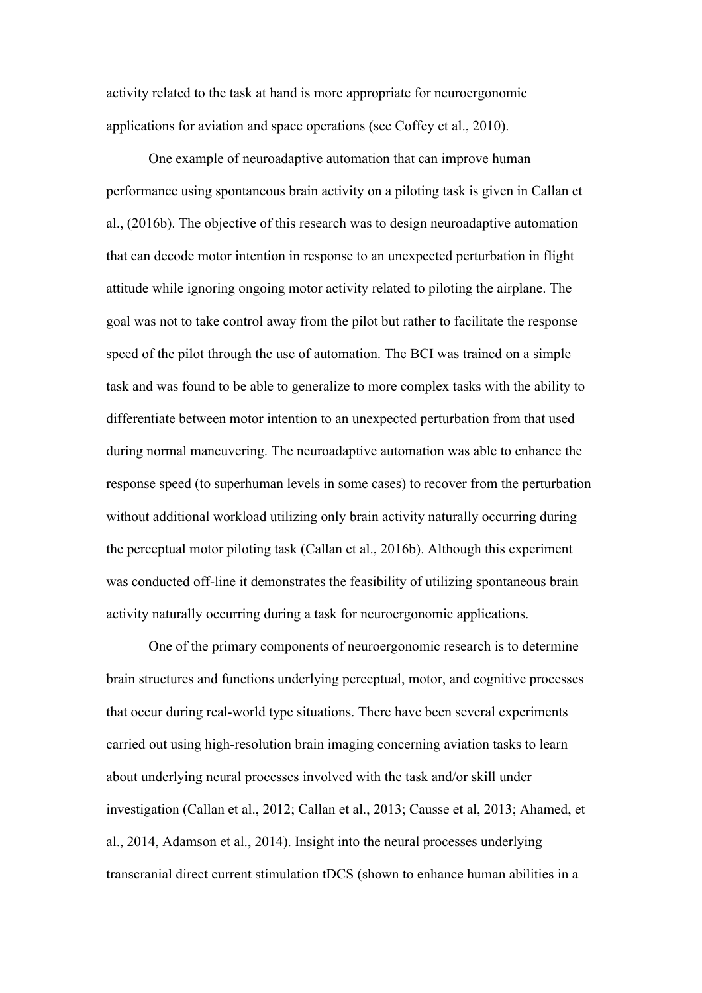activity related to the task at hand is more appropriate for neuroergonomic applications for aviation and space operations (see Coffey et al., 2010).

One example of neuroadaptive automation that can improve human performance using spontaneous brain activity on a piloting task is given in Callan et al., (2016b). The objective of this research was to design neuroadaptive automation that can decode motor intention in response to an unexpected perturbation in flight attitude while ignoring ongoing motor activity related to piloting the airplane. The goal was not to take control away from the pilot but rather to facilitate the response speed of the pilot through the use of automation. The BCI was trained on a simple task and was found to be able to generalize to more complex tasks with the ability to differentiate between motor intention to an unexpected perturbation from that used during normal maneuvering. The neuroadaptive automation was able to enhance the response speed (to superhuman levels in some cases) to recover from the perturbation without additional workload utilizing only brain activity naturally occurring during the perceptual motor piloting task (Callan et al., 2016b). Although this experiment was conducted off-line it demonstrates the feasibility of utilizing spontaneous brain activity naturally occurring during a task for neuroergonomic applications.

One of the primary components of neuroergonomic research is to determine brain structures and functions underlying perceptual, motor, and cognitive processes that occur during real-world type situations. There have been several experiments carried out using high-resolution brain imaging concerning aviation tasks to learn about underlying neural processes involved with the task and/or skill under investigation (Callan et al., 2012; Callan et al., 2013; Causse et al, 2013; Ahamed, et al., 2014, Adamson et al., 2014). Insight into the neural processes underlying transcranial direct current stimulation tDCS (shown to enhance human abilities in a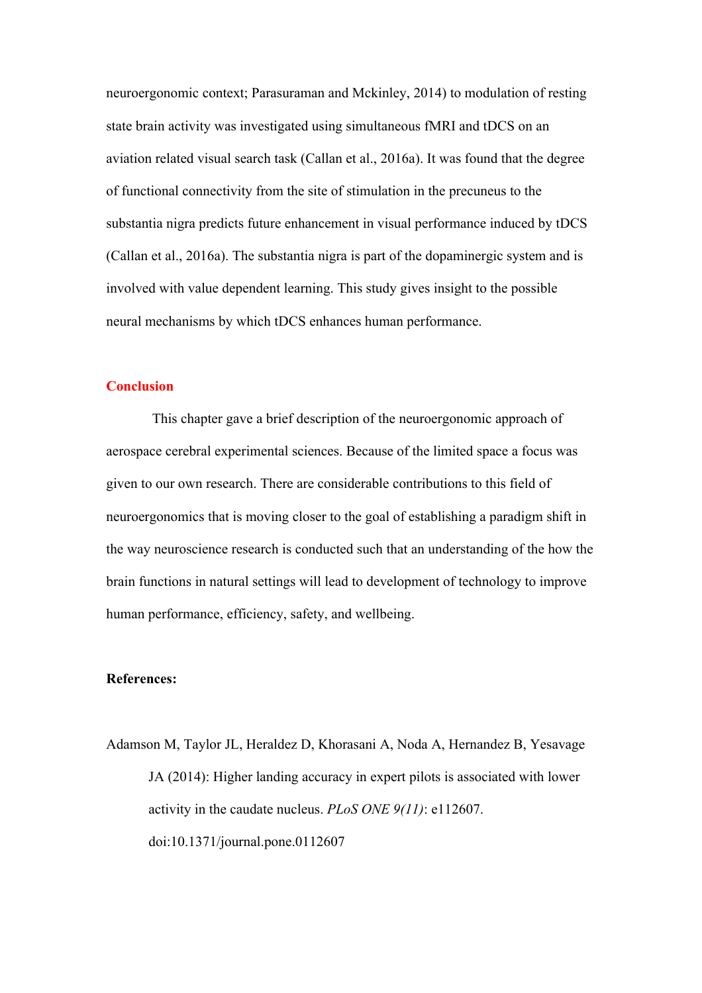neuroergonomic context; Parasuraman and Mckinley, 2014) to modulation of resting state brain activity was investigated using simultaneous fMRI and tDCS on an aviation related visual search task (Callan et al., 2016a). It was found that the degree of functional connectivity from the site of stimulation in the precuneus to the substantia nigra predicts future enhancement in visual performance induced by tDCS (Callan et al., 2016a). The substantia nigra is part of the dopaminergic system and is involved with value dependent learning. This study gives insight to the possible neural mechanisms by which tDCS enhances human performance.

#### **Conclusion**

This chapter gave a brief description of the neuroergonomic approach of aerospace cerebral experimental sciences. Because of the limited space a focus was given to our own research. There are considerable contributions to this field of neuroergonomics that is moving closer to the goal of establishing a paradigm shift in the way neuroscience research is conducted such that an understanding of the how the brain functions in natural settings will lead to development of technology to improve human performance, efficiency, safety, and wellbeing.

#### **References:**

Adamson M, Taylor JL, Heraldez D, Khorasani A, Noda A, Hernandez B, Yesavage JA (2014): Higher landing accuracy in expert pilots is associated with lower activity in the caudate nucleus. *PLoS ONE 9(11)*: e112607. doi:10.1371/journal.pone.0112607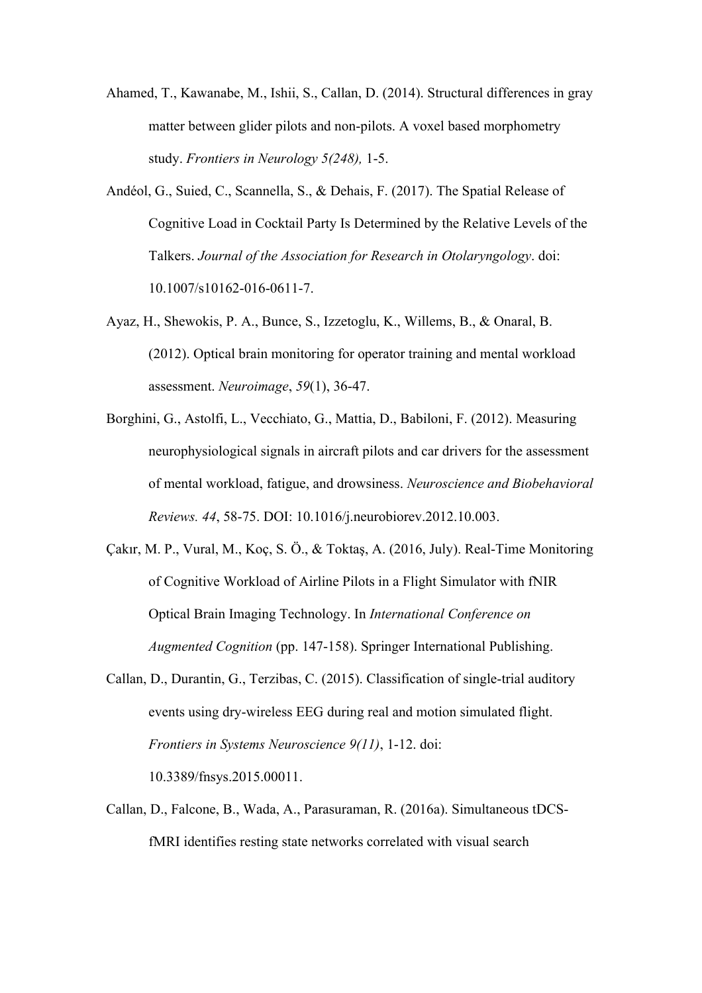- Ahamed, T., Kawanabe, M., Ishii, S., Callan, D. (2014). Structural differences in gray matter between glider pilots and non-pilots. A voxel based morphometry study. *Frontiers in Neurology 5(248),* 1-5.
- Andéol, G., Suied, C., Scannella, S., & Dehais, F. (2017). The Spatial Release of Cognitive Load in Cocktail Party Is Determined by the Relative Levels of the Talkers. *Journal of the Association for Research in Otolaryngology*. doi: 10.1007/s10162-016-0611-7.
- Ayaz, H., Shewokis, P. A., Bunce, S., Izzetoglu, K., Willems, B., & Onaral, B. (2012). Optical brain monitoring for operator training and mental workload assessment. *Neuroimage*, *59*(1), 36-47.
- Borghini, G., Astolfi, L., Vecchiato, G., Mattia, D., Babiloni, F. (2012). Measuring neurophysiological signals in aircraft pilots and car drivers for the assessment of mental workload, fatigue, and drowsiness. *Neuroscience and Biobehavioral Reviews. 44*, 58-75. DOI: 10.1016/j.neurobiorev.2012.10.003.
- Çakır, M. P., Vural, M., Koç, S. Ö., & Toktaş, A. (2016, July). Real-Time Monitoring of Cognitive Workload of Airline Pilots in a Flight Simulator with fNIR Optical Brain Imaging Technology. In *International Conference on Augmented Cognition* (pp. 147-158). Springer International Publishing.
- Callan, D., Durantin, G., Terzibas, C. (2015). Classification of single-trial auditory events using dry-wireless EEG during real and motion simulated flight. *Frontiers in Systems Neuroscience 9(11)*, 1-12. doi:

10.3389/fnsys.2015.00011.

Callan, D., Falcone, B., Wada, A., Parasuraman, R. (2016a). Simultaneous tDCSfMRI identifies resting state networks correlated with visual search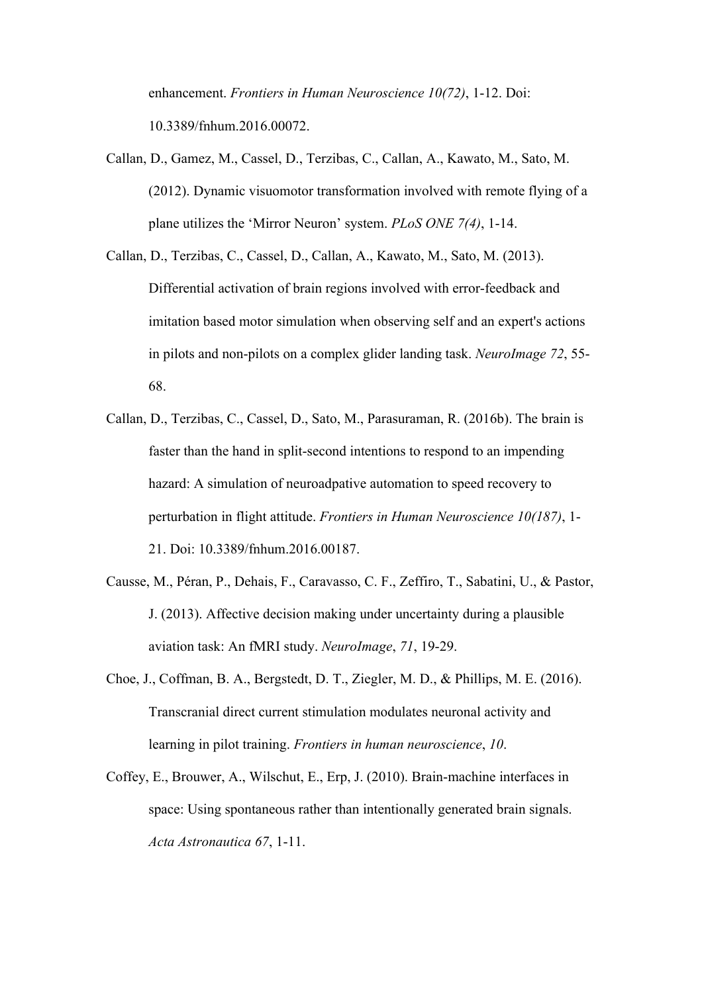enhancement. *Frontiers in Human Neuroscience 10(72)*, 1-12. Doi: 10.3389/fnhum.2016.00072.

- Callan, D., Gamez, M., Cassel, D., Terzibas, C., Callan, A., Kawato, M., Sato, M. (2012). Dynamic visuomotor transformation involved with remote flying of a plane utilizes the 'Mirror Neuron' system. *PLoS ONE 7(4)*, 1-14.
- Callan, D., Terzibas, C., Cassel, D., Callan, A., Kawato, M., Sato, M. (2013). Differential activation of brain regions involved with error-feedback and imitation based motor simulation when observing self and an expert's actions in pilots and non-pilots on a complex glider landing task. *NeuroImage 72*, 55- 68.
- Callan, D., Terzibas, C., Cassel, D., Sato, M., Parasuraman, R. (2016b). The brain is faster than the hand in split-second intentions to respond to an impending hazard: A simulation of neuroadpative automation to speed recovery to perturbation in flight attitude. *Frontiers in Human Neuroscience 10(187)*, 1- 21. Doi: 10.3389/fnhum.2016.00187.
- Causse, M., Péran, P., Dehais, F., Caravasso, C. F., Zeffiro, T., Sabatini, U., & Pastor, J. (2013). Affective decision making under uncertainty during a plausible aviation task: An fMRI study. *NeuroImage*, *71*, 19-29.
- Choe, J., Coffman, B. A., Bergstedt, D. T., Ziegler, M. D., & Phillips, M. E. (2016). Transcranial direct current stimulation modulates neuronal activity and learning in pilot training. *Frontiers in human neuroscience*, *10*.
- Coffey, E., Brouwer, A., Wilschut, E., Erp, J. (2010). Brain-machine interfaces in space: Using spontaneous rather than intentionally generated brain signals. *Acta Astronautica 67*, 1-11.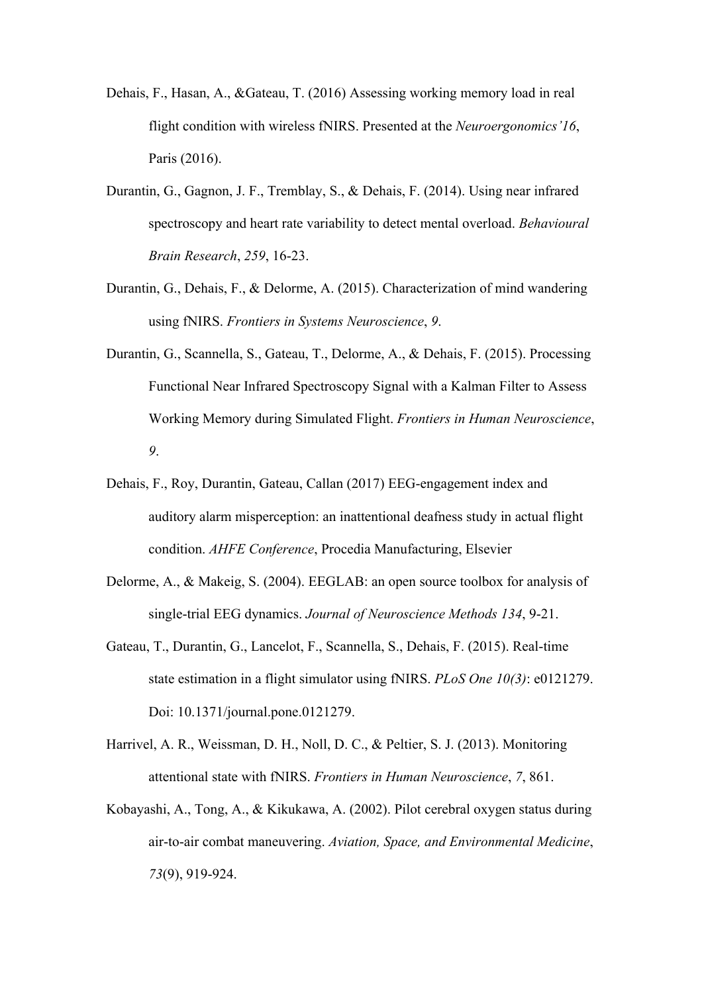- Dehais, F., Hasan, A., &Gateau, T. (2016) Assessing working memory load in real flight condition with wireless fNIRS. Presented at the *Neuroergonomics'16*, Paris (2016).
- Durantin, G., Gagnon, J. F., Tremblay, S., & Dehais, F. (2014). Using near infrared spectroscopy and heart rate variability to detect mental overload. *Behavioural Brain Research*, *259*, 16-23.
- Durantin, G., Dehais, F., & Delorme, A. (2015). Characterization of mind wandering using fNIRS. *Frontiers in Systems Neuroscience*, *9*.
- Durantin, G., Scannella, S., Gateau, T., Delorme, A., & Dehais, F. (2015). Processing Functional Near Infrared Spectroscopy Signal with a Kalman Filter to Assess Working Memory during Simulated Flight. *Frontiers in Human Neuroscience*, *9*.
- Dehais, F., Roy, Durantin, Gateau, Callan (2017) EEG-engagement index and auditory alarm misperception: an inattentional deafness study in actual flight condition. *AHFE Conference*, Procedia Manufacturing, Elsevier
- Delorme, A., & Makeig, S. (2004). EEGLAB: an open source toolbox for analysis of single-trial EEG dynamics. *Journal of Neuroscience Methods 134*, 9-21.
- Gateau, T., Durantin, G., Lancelot, F., Scannella, S., Dehais, F. (2015). Real-time state estimation in a flight simulator using fNIRS. *PLoS One 10(3)*: e0121279. Doi: 10.1371/journal.pone.0121279.
- Harrivel, A. R., Weissman, D. H., Noll, D. C., & Peltier, S. J. (2013). Monitoring attentional state with fNIRS. *Frontiers in Human Neuroscience*, *7*, 861.
- Kobayashi, A., Tong, A., & Kikukawa, A. (2002). Pilot cerebral oxygen status during air-to-air combat maneuvering. *Aviation, Space, and Environmental Medicine*, *73*(9), 919-924.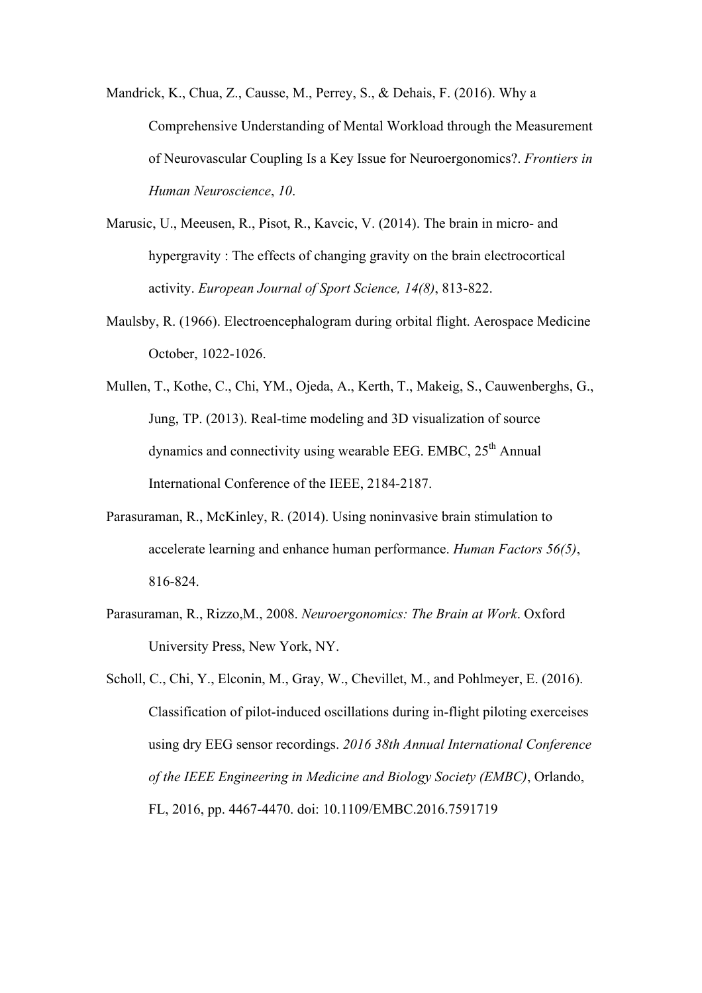Mandrick, K., Chua, Z., Causse, M., Perrey, S., & Dehais, F. (2016). Why a Comprehensive Understanding of Mental Workload through the Measurement of Neurovascular Coupling Is a Key Issue for Neuroergonomics?. *Frontiers in Human Neuroscience*, *10*.

- Marusic, U., Meeusen, R., Pisot, R., Kavcic, V. (2014). The brain in micro- and hypergravity : The effects of changing gravity on the brain electrocortical activity. *European Journal of Sport Science, 14(8)*, 813-822.
- Maulsby, R. (1966). Electroencephalogram during orbital flight. Aerospace Medicine October, 1022-1026.
- Mullen, T., Kothe, C., Chi, YM., Ojeda, A., Kerth, T., Makeig, S., Cauwenberghs, G., Jung, TP. (2013). Real-time modeling and 3D visualization of source dynamics and connectivity using wearable EEG. EMBC,  $25<sup>th</sup>$  Annual International Conference of the IEEE, 2184-2187.
- Parasuraman, R., McKinley, R. (2014). Using noninvasive brain stimulation to accelerate learning and enhance human performance. *Human Factors 56(5)*, 816-824.
- Parasuraman, R., Rizzo,M., 2008. *Neuroergonomics: The Brain at Work*. Oxford University Press, New York, NY.
- Scholl, C., Chi, Y., Elconin, M., Gray, W., Chevillet, M., and Pohlmeyer, E. (2016). Classification of pilot-induced oscillations during in-flight piloting exerceises using dry EEG sensor recordings. *2016 38th Annual International Conference of the IEEE Engineering in Medicine and Biology Society (EMBC)*, Orlando, FL, 2016, pp. 4467-4470. doi: 10.1109/EMBC.2016.7591719